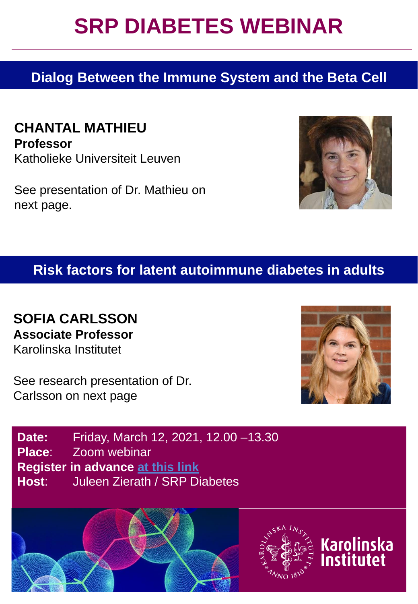## **SRP DIABETES WEBINAR**

### **Dialog Between the Immune System and the Beta Cell**

**CHANTAL MATHIEU Professor** Katholieke Universiteit Leuven

See presentation of Dr. Mathieu on next page.

#### **Risk factors for latent autoimmune diabetes in adults**

**SOFIA CARLSSON Associate Professor** Karolinska Institutet

See research presentation of Dr. Carlsson on next page









**Karolinska** Institutet